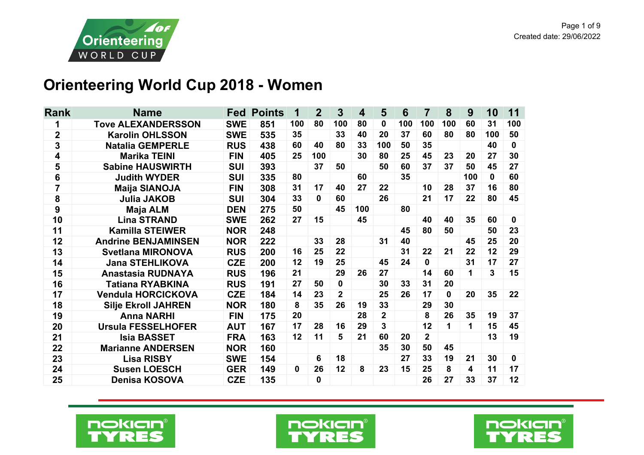

## **Orienteering World Cup 2018 - Women**

| <b>Rank</b><br><b>Name</b><br><b>Fed</b><br><b>Points</b>                                            |                | $\overline{7}$ | 8        | 9   | 10           | 11       |
|------------------------------------------------------------------------------------------------------|----------------|----------------|----------|-----|--------------|----------|
| 1<br><b>Tove ALEXANDERSSON</b><br><b>SWE</b><br>851<br>80<br>100<br>100<br>100<br>80<br>$\mathbf{0}$ | 100            |                | 100      | 60  | 31           | 100      |
| $\overline{\mathbf{2}}$<br>33<br><b>Karolin OHLSSON</b><br><b>SWE</b><br>35<br>20<br>37<br>535<br>40 | 60             |                | 80       | 80  | 100          | 50       |
| 3<br><b>Natalia GEMPERLE</b><br>80<br>33<br>100<br>50<br><b>RUS</b><br>438<br>60<br>40               | 35             |                |          |     | 40           | 0        |
| $\overline{\mathbf{4}}$<br>100<br>30<br>25<br><b>Marika TEINI</b><br><b>FIN</b><br>25<br>80<br>405   | 45             |                | 23       | 20  | 27           | 30       |
| 5<br>37<br><b>Sabine HAUSWIRTH</b><br><b>SUI</b><br>393<br>50<br>50<br>60                            | 37             |                | 37       | 50  | 45           | 27       |
| 6<br>35<br><b>Judith WYDER</b><br><b>SUI</b><br>335<br>80<br>60                                      |                |                |          | 100 | $\mathbf{0}$ | 60       |
| 7<br><b>Maija SIANOJA</b><br>17<br>27<br><b>FIN</b><br>308<br>31<br>22<br>40                         | 10             |                | 28       | 37  | 16           | 80       |
| 8<br>26<br><b>Julia JAKOB</b><br><b>SUI</b><br>33<br>$\mathbf{0}$<br>60<br>304                       | 21             |                | 17       | 22  | 80           | 45       |
| 9<br>45<br>80<br><b>Maja ALM</b><br>50<br>100<br><b>DEN</b><br>275                                   |                |                |          |     |              |          |
| 10<br><b>Lina STRAND</b><br>45<br><b>SWE</b><br>27<br>262<br>15                                      | 40             |                | 40       | 35  | 60           | 0        |
| 11<br><b>Kamilla STEIWER</b><br><b>NOR</b><br>248<br>45                                              | 80             |                | 50       |     | 50           | 23       |
| 12<br><b>Andrine BENJAMINSEN</b><br><b>NOR</b><br>33<br>28<br>40<br>222<br>31                        |                |                |          | 45  | 25           | 20       |
| 13<br>22<br><b>Svetlana MIRONOVA</b><br><b>RUS</b><br>25<br>31<br>200<br>16                          | 22             |                | 21       | 22  | 12           | 29       |
| 24<br>14<br><b>Jana STEHLIKOVA</b><br>12<br>19<br>25<br><b>CZE</b><br>45<br>200                      | $\bf{0}$       |                |          | 31  | 17           | 27       |
| 15<br>Anastasia RUDNAYA<br><b>RUS</b><br>21<br>29<br>27<br>196<br>26                                 | 14             |                | 60       | 1   | 3            | 15       |
| 16<br><b>Tatiana RYABKINA</b><br><b>RUS</b><br>191<br>27<br>50<br>0<br>30<br>33                      | 31             |                | 20       |     |              |          |
| 17<br><b>CZE</b><br>23<br>$\overline{2}$<br>25<br>26<br><b>Vendula HORCICKOVA</b><br>14<br>184       | 17             |                | $\bf{0}$ | 20  | 35           | 22       |
| 33<br>18<br>35<br>26<br><b>NOR</b><br>180<br>8<br>19<br><b>Silje Ekroll JAHREN</b>                   | 29             |                | 30       |     |              |          |
| $\mathbf{2}$<br>28<br>19<br><b>Anna NARHI</b><br><b>FIN</b><br>175<br>20                             | 8              |                | 26       | 35  | 19           | 37       |
| 3<br><b>Ursula FESSELHOFER</b><br>20<br><b>AUT</b><br>167<br>17<br>29<br>28<br>16                    | 12             |                | 1.       | 1   | 15           | 45       |
| 21<br><b>Isia BASSET</b><br>12<br>11<br>5<br>21<br><b>FRA</b><br>163<br>60<br>20                     | $\overline{2}$ |                |          |     | 13           | 19       |
| 22<br><b>Marianne ANDERSEN</b><br><b>NOR</b><br>35<br>30<br>160                                      | 50             |                | 45       |     |              |          |
| 6<br>18<br>27<br>23<br><b>Lisa RISBY</b><br><b>SWE</b><br>154                                        | 33             |                | 19       | 21  | 30           | $\bf{0}$ |
| 26<br>12<br>15<br>24<br><b>Susen LOESCH</b><br><b>GER</b><br>8<br>23<br>149<br>0                     | 25             |                | 8        | 4   | 11           | 17       |
| 25<br><b>Denisa KOSOVA</b><br><b>CZE</b><br>135<br>0                                                 | 26             |                | 27       | 33  | 37           | 12       |





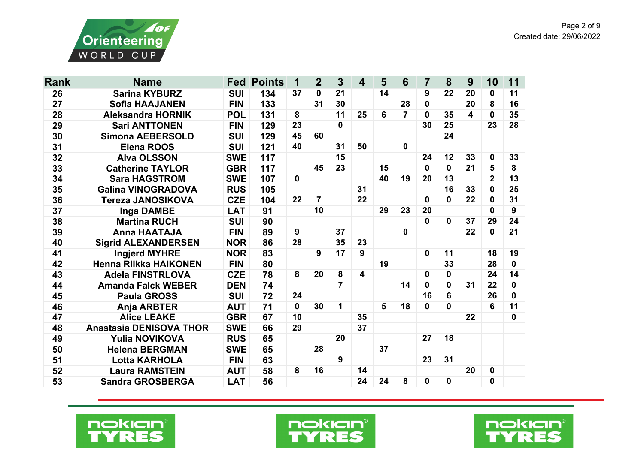

| <b>Rank</b> | <b>Name</b>                    | <b>Fed</b> | <b>Points</b> | 1            | $\overline{2}$ | $\mathbf{3}$            | $\overline{\mathbf{4}}$ | 5  | 6              | $\overline{7}$ | 8            | 9                       | 10           | 11           |
|-------------|--------------------------------|------------|---------------|--------------|----------------|-------------------------|-------------------------|----|----------------|----------------|--------------|-------------------------|--------------|--------------|
| 26          | <b>Sarina KYBURZ</b>           | <b>SUI</b> | 134           | 37           | 0              | 21                      |                         | 14 |                | 9              | 22           | 20                      | 0            | 11           |
| 27          | <b>Sofia HAAJANEN</b>          | <b>FIN</b> | 133           |              | 31             | 30                      |                         |    | 28             | 0              |              | 20                      | 8            | 16           |
| 28          | <b>Aleksandra HORNIK</b>       | <b>POL</b> | 131           | 8            |                | 11                      | 25                      | 6  | $\overline{7}$ | $\bf{0}$       | 35           | $\overline{\mathbf{4}}$ | 0            | 35           |
| 29          | <b>Sari ANTTONEN</b>           | <b>FIN</b> | 129           | 23           |                | $\mathbf 0$             |                         |    |                | 30             | 25           |                         | 23           | 28           |
| 30          | <b>Simona AEBERSOLD</b>        | <b>SUI</b> | 129           | 45           | 60             |                         |                         |    |                |                | 24           |                         |              |              |
| 31          | <b>Elena ROOS</b>              | <b>SUI</b> | 121           | 40           |                | 31                      | 50                      |    | $\mathbf 0$    |                |              |                         |              |              |
| 32          | <b>Alva OLSSON</b>             | <b>SWE</b> | 117           |              |                | 15                      |                         |    |                | 24             | 12           | 33                      | 0            | 33           |
| 33          | <b>Catherine TAYLOR</b>        | <b>GBR</b> | 117           |              | 45             | 23                      |                         | 15 |                | $\mathbf{0}$   | $\mathbf{0}$ | 21                      | 5            | 8            |
| 34          | <b>Sara HAGSTROM</b>           | <b>SWE</b> | 107           | $\mathbf{0}$ |                |                         |                         | 40 | 19             | 20             | 13           |                         | $\mathbf{2}$ | 13           |
| 35          | <b>Galina VINOGRADOVA</b>      | <b>RUS</b> | 105           |              |                |                         | 31                      |    |                |                | 16           | 33                      | 0            | 25           |
| 36          | <b>Tereza JANOSIKOVA</b>       | <b>CZE</b> | 104           | 22           | $\overline{7}$ |                         | 22                      |    |                | 0              | $\mathbf{0}$ | 22                      | 0            | 31           |
| 37          | <b>Inga DAMBE</b>              | <b>LAT</b> | 91            |              | 10             |                         |                         | 29 | 23             | 20             |              |                         | 0            | 9            |
| 38          | <b>Martina RUCH</b>            | <b>SUI</b> | 90            |              |                |                         |                         |    |                | $\mathbf{0}$   | $\mathbf{0}$ | 37                      | 29           | 24           |
| 39          | <b>Anna HAATAJA</b>            | <b>FIN</b> | 89            | 9            |                | 37                      |                         |    | $\mathbf 0$    |                |              | 22                      | 0            | 21           |
| 40          | <b>Sigrid ALEXANDERSEN</b>     | <b>NOR</b> | 86            | 28           |                | 35                      | 23                      |    |                |                |              |                         |              |              |
| 41          | <b>Ingjerd MYHRE</b>           | <b>NOR</b> | 83            |              | 9              | 17                      | 9                       |    |                | 0              | 11           |                         | 18           | 19           |
| 42          | <b>Henna Riikka HAIKONEN</b>   | <b>FIN</b> | 80            |              |                |                         |                         | 19 |                |                | 33           |                         | 28           | $\mathbf 0$  |
| 43          | <b>Adela FINSTRLOVA</b>        | <b>CZE</b> | 78            | 8            | 20             | 8                       | 4                       |    |                | 0              | 0            |                         | 24           | 14           |
| 44          | <b>Amanda Falck WEBER</b>      | <b>DEN</b> | 74            |              |                | $\overline{\mathbf{7}}$ |                         |    | 14             | 0              | $\mathbf 0$  | 31                      | 22           | $\mathbf{0}$ |
| 45          | <b>Paula GROSS</b>             | <b>SUI</b> | 72            | 24           |                |                         |                         |    |                | 16             | 6            |                         | 26           | 0            |
| 46          | Anja ARBTER                    | <b>AUT</b> | 71            | $\mathbf{0}$ | 30             | $\mathbf 1$             |                         | 5  | 18             | 0              | $\mathbf{0}$ |                         | 6            | 11           |
| 47          | <b>Alice LEAKE</b>             | <b>GBR</b> | 67            | 10           |                |                         | 35                      |    |                |                |              | 22                      |              | $\mathbf 0$  |
| 48          | <b>Anastasia DENISOVA THOR</b> | <b>SWE</b> | 66            | 29           |                |                         | 37                      |    |                |                |              |                         |              |              |
| 49          | <b>Yulia NOVIKOVA</b>          | <b>RUS</b> | 65            |              |                | 20                      |                         |    |                | 27             | 18           |                         |              |              |
| 50          | <b>Helena BERGMAN</b>          | <b>SWE</b> | 65            |              | 28             |                         |                         | 37 |                |                |              |                         |              |              |
| 51          | Lotta KARHOLA                  | <b>FIN</b> | 63            |              |                | 9                       |                         |    |                | 23             | 31           |                         |              |              |
| 52          | <b>Laura RAMSTEIN</b>          | <b>AUT</b> | 58            | 8            | 16             |                         | 14                      |    |                |                |              | 20                      | 0            |              |
| 53          | <b>Sandra GROSBERGA</b>        | <b>LAT</b> | 56            |              |                |                         | 24                      | 24 | 8              | 0              | $\bf{0}$     |                         | $\mathbf 0$  |              |





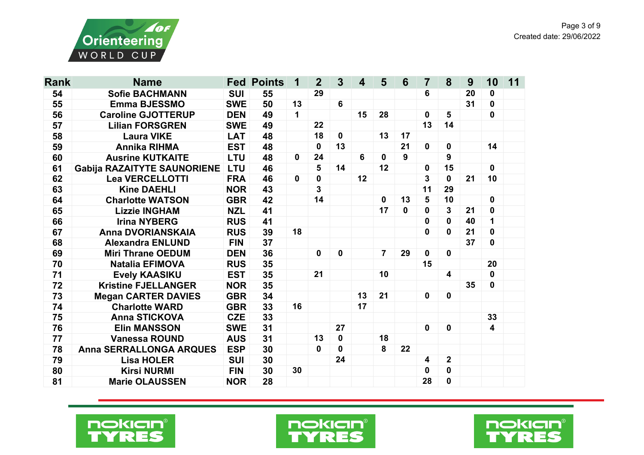

| <b>Rank</b> | <b>Name</b>                        |            | <b>Fed Points</b> | 1            | $\overline{2}$ | $\overline{3}$ | $\overline{\mathbf{4}}$ | 5              | $6\phantom{1}6$ | $\overline{7}$          | 8                       | 9  | 10                      | 11 |
|-------------|------------------------------------|------------|-------------------|--------------|----------------|----------------|-------------------------|----------------|-----------------|-------------------------|-------------------------|----|-------------------------|----|
| 54          | <b>Sofie BACHMANN</b>              | <b>SUI</b> | 55                |              | 29             |                |                         |                |                 | 6                       |                         | 20 | 0                       |    |
| 55          | <b>Emma BJESSMO</b>                | <b>SWE</b> | 50                | 13           |                | 6              |                         |                |                 |                         |                         | 31 | 0                       |    |
| 56          | <b>Caroline GJOTTERUP</b>          | <b>DEN</b> | 49                | $\mathbf{1}$ |                |                | 15                      | 28             |                 | $\mathbf 0$             | $5\phantom{1}$          |    | $\mathbf 0$             |    |
| 57          | <b>Lilian FORSGREN</b>             | <b>SWE</b> | 49                |              | 22             |                |                         |                |                 | 13                      | 14                      |    |                         |    |
| 58          | <b>Laura VIKE</b>                  | <b>LAT</b> | 48                |              | 18             | $\mathbf{0}$   |                         | 13             | 17              |                         |                         |    |                         |    |
| 59          | <b>Annika RIHMA</b>                | <b>EST</b> | 48                |              | 0              | 13             |                         |                | 21              | $\mathbf 0$             | $\mathbf 0$             |    | 14                      |    |
| 60          | <b>Ausrine KUTKAITE</b>            | <b>LTU</b> | 48                | 0            | 24             |                | 6                       | $\mathbf{0}$   | 9               |                         | 9                       |    |                         |    |
| 61          | <b>Gabija RAZAITYTE SAUNORIENE</b> | <b>LTU</b> | 46                |              | 5              | 14             |                         | 12             |                 | 0                       | 15                      |    | $\mathbf{0}$            |    |
| 62          | <b>Lea VERCELLOTTI</b>             | <b>FRA</b> | 46                | $\mathbf{0}$ | $\mathbf 0$    |                | 12                      |                |                 | 3                       | $\mathbf{0}$            | 21 | 10                      |    |
| 63          | <b>Kine DAEHLI</b>                 | <b>NOR</b> | 43                |              | 3              |                |                         |                |                 | 11                      | 29                      |    |                         |    |
| 64          | <b>Charlotte WATSON</b>            | <b>GBR</b> | 42                |              | 14             |                |                         | $\mathbf 0$    | 13              | 5                       | 10                      |    | 0                       |    |
| 65          | <b>Lizzie INGHAM</b>               | <b>NZL</b> | 41                |              |                |                |                         | 17             | $\mathbf 0$     | $\mathbf 0$             | $\overline{3}$          | 21 | $\mathbf 0$             |    |
| 66          | <b>Irina NYBERG</b>                | <b>RUS</b> | 41                |              |                |                |                         |                |                 | 0                       | $\mathbf{0}$            | 40 | 1                       |    |
| 67          | <b>Anna DVORIANSKAIA</b>           |            | 39                | 18           |                |                |                         |                |                 | 0                       | $\bf{0}$                | 21 | 0                       |    |
| 68          | <b>Alexandra ENLUND</b>            | <b>FIN</b> | 37                |              |                |                |                         |                |                 |                         |                         | 37 | 0                       |    |
| 69          | <b>Miri Thrane OEDUM</b>           | <b>DEN</b> | 36                |              | $\mathbf 0$    | $\mathbf 0$    |                         | $\overline{7}$ | 29              | $\mathbf 0$             | $\mathbf 0$             |    |                         |    |
| 70          | <b>Natalia EFIMOVA</b>             | <b>RUS</b> | 35                |              |                |                |                         |                |                 | 15                      |                         |    | 20                      |    |
| 71          | <b>Evely KAASIKU</b>               | <b>EST</b> | 35                |              | 21             |                |                         | 10             |                 |                         | $\overline{\mathbf{4}}$ |    | 0                       |    |
| 72          | <b>Kristine FJELLANGER</b>         | <b>NOR</b> | 35                |              |                |                |                         |                |                 |                         |                         | 35 | $\mathbf 0$             |    |
| 73          | <b>Megan CARTER DAVIES</b>         | <b>GBR</b> | 34                |              |                |                | 13                      | 21             |                 | 0                       | $\mathbf 0$             |    |                         |    |
| 74          | <b>Charlotte WARD</b>              | <b>GBR</b> | 33                | 16           |                |                | 17                      |                |                 |                         |                         |    |                         |    |
| 75          | <b>Anna STICKOVA</b>               | <b>CZE</b> | 33                |              |                |                |                         |                |                 |                         |                         |    | 33                      |    |
| 76          | <b>Elin MANSSON</b>                | <b>SWE</b> | 31                |              |                | 27             |                         |                |                 | $\mathbf 0$             | $\mathbf{0}$            |    | $\overline{\mathbf{4}}$ |    |
| 77          | <b>Vanessa ROUND</b>               | <b>AUS</b> | 31                |              | 13             | $\mathbf 0$    |                         | 18             |                 |                         |                         |    |                         |    |
| 78          | <b>Anna SERRALLONGA ARQUES</b>     | <b>ESP</b> | 30                |              | 0              | 0              |                         | 8              | 22              |                         |                         |    |                         |    |
| 79          | <b>Lisa HOLER</b>                  | <b>SUI</b> | 30                |              |                | 24             |                         |                |                 | $\overline{\mathbf{4}}$ | $\mathbf{2}$            |    |                         |    |
| 80          | <b>Kirsi NURMI</b>                 | <b>FIN</b> | 30                | 30           |                |                |                         |                |                 | 0                       | $\mathbf 0$             |    |                         |    |
| 81          | <b>Marie OLAUSSEN</b>              | <b>NOR</b> | 28                |              |                |                |                         |                |                 | 28                      | $\mathbf 0$             |    |                         |    |





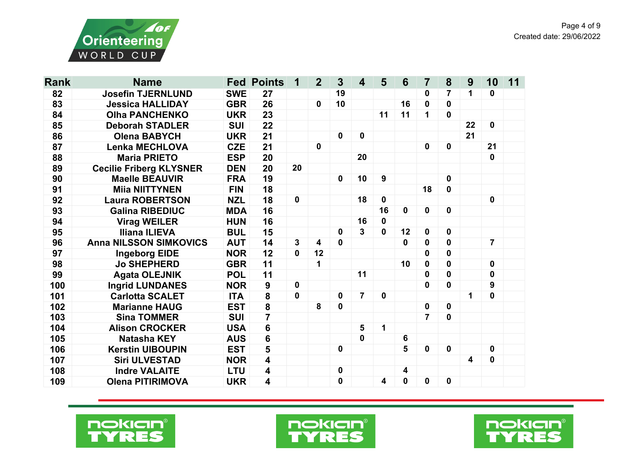

| <b>Rank</b> | <b>Name</b>                    |            | <b>Fed Points</b>       | 1           | $\overline{2}$ | 3            | $\overline{\mathbf{4}}$ | 5            | $6\phantom{1}6$ | $\overline{7}$ | 8            | 9  | 10               | 11 |
|-------------|--------------------------------|------------|-------------------------|-------------|----------------|--------------|-------------------------|--------------|-----------------|----------------|--------------|----|------------------|----|
| 82          | <b>Josefin TJERNLUND</b>       | <b>SWE</b> | 27                      |             |                | 19           |                         |              |                 | 0              | 7            | 1  | 0                |    |
| 83          | <b>Jessica HALLIDAY</b>        | <b>GBR</b> | 26                      |             | $\mathbf 0$    | 10           |                         |              | 16              | $\bf{0}$       | 0            |    |                  |    |
| 84          | <b>Olha PANCHENKO</b>          | <b>UKR</b> | 23                      |             |                |              |                         | 11           | 11              | 1              | $\bf{0}$     |    |                  |    |
| 85          | <b>Deborah STADLER</b>         | <b>SUI</b> | 22                      |             |                |              |                         |              |                 |                |              | 22 | $\mathbf 0$      |    |
| 86          | <b>Olena BABYCH</b>            | <b>UKR</b> | 21                      |             |                | $\mathbf 0$  | $\mathbf 0$             |              |                 |                |              | 21 |                  |    |
| 87          | <b>Lenka MECHLOVA</b>          | <b>CZE</b> | 21                      |             | $\mathbf 0$    |              |                         |              |                 | $\mathbf 0$    | $\mathbf 0$  |    | 21               |    |
| 88          | <b>Maria PRIETO</b>            | <b>ESP</b> | 20                      |             |                |              | 20                      |              |                 |                |              |    | $\bf{0}$         |    |
| 89          | <b>Cecilie Friberg KLYSNER</b> | <b>DEN</b> | 20                      | 20          |                |              |                         |              |                 |                |              |    |                  |    |
| 90          | <b>Maelle BEAUVIR</b>          | <b>FRA</b> | 19                      |             |                | $\mathbf{0}$ | 10                      | 9            |                 |                | $\mathbf 0$  |    |                  |    |
| 91          | <b>Miia NIITTYNEN</b>          | <b>FIN</b> | 18                      |             |                |              |                         |              |                 | 18             | $\mathbf{0}$ |    |                  |    |
| 92          | <b>Laura ROBERTSON</b>         | <b>NZL</b> | 18                      | $\mathbf 0$ |                |              | 18                      | $\mathbf 0$  |                 |                |              |    | 0                |    |
| 93          | <b>Galina RIBEDIUC</b>         | <b>MDA</b> | 16                      |             |                |              |                         | 16           | $\mathbf 0$     | $\mathbf 0$    | $\bf{0}$     |    |                  |    |
| 94          | <b>Virag WEILER</b>            | <b>HUN</b> | 16                      |             |                |              | 16                      | $\mathbf 0$  |                 |                |              |    |                  |    |
| 95          | <b>Iliana ILIEVA</b>           | <b>BUL</b> | 15                      |             |                | 0            | $\mathbf{3}$            | $\mathbf{0}$ | 12              | $\bf{0}$       | $\bf{0}$     |    |                  |    |
| 96          | <b>Anna NILSSON SIMKOVICS</b>  | <b>AUT</b> | 14                      | 3           | 4              | $\mathbf 0$  |                         |              | 0               | $\mathbf 0$    | $\mathbf 0$  |    | $\overline{7}$   |    |
| 97          | <b>Ingeborg EIDE</b>           | <b>NOR</b> | 12                      | $\mathbf 0$ | 12             |              |                         |              |                 | $\bf{0}$       | $\mathbf 0$  |    |                  |    |
| 98          | <b>Jo SHEPHERD</b>             | <b>GBR</b> | 11                      |             | 1              |              |                         |              | 10              | $\mathbf 0$    | $\mathbf{0}$ |    | $\mathbf 0$      |    |
| 99          | <b>Agata OLEJNIK</b>           | <b>POL</b> | 11                      |             |                |              | 11                      |              |                 | $\mathbf 0$    | $\mathbf{0}$ |    | 0                |    |
| 100         | <b>Ingrid LUNDANES</b>         | <b>NOR</b> | 9                       | $\mathbf 0$ |                |              |                         |              |                 | $\mathbf 0$    | $\mathbf{0}$ |    | $\boldsymbol{9}$ |    |
| 101         | <b>Carlotta SCALET</b>         | <b>ITA</b> | 8                       | $\mathbf 0$ |                | $\pmb{0}$    | $\overline{7}$          | $\mathbf 0$  |                 |                |              | 1  | 0                |    |
| 102         | <b>Marianne HAUG</b>           | <b>EST</b> | 8                       |             | 8              | 0            |                         |              |                 | $\mathbf 0$    | $\mathbf 0$  |    |                  |    |
| 103         | <b>Sina TOMMER</b>             | <b>SUI</b> | $\overline{7}$          |             |                |              |                         |              |                 | $\overline{7}$ | $\mathbf 0$  |    |                  |    |
| 104         | <b>Alison CROCKER</b>          | <b>USA</b> | 6                       |             |                |              | 5                       | 1            |                 |                |              |    |                  |    |
| 105         | <b>Natasha KEY</b>             | <b>AUS</b> | $6\phantom{a}$          |             |                |              | $\mathbf 0$             |              | 6               |                |              |    |                  |    |
| 106         | <b>Kerstin UIBOUPIN</b>        | <b>EST</b> | 5                       |             |                | $\mathbf 0$  |                         |              | 5               | $\mathbf 0$    | $\mathbf 0$  |    | 0                |    |
| 107         | <b>Siri ULVESTAD</b>           | <b>NOR</b> | $\overline{\mathbf{4}}$ |             |                |              |                         |              |                 |                |              | 4  | $\mathbf 0$      |    |
| 108         | <b>Indre VALAITE</b>           | <b>LTU</b> | 4                       |             |                | $\mathbf 0$  |                         |              | 4               |                |              |    |                  |    |
| 109         | <b>Olena PITIRIMOVA</b>        | <b>UKR</b> | 4                       |             |                | 0            |                         | 4            | $\mathbf 0$     | $\mathbf 0$    | $\mathbf 0$  |    |                  |    |





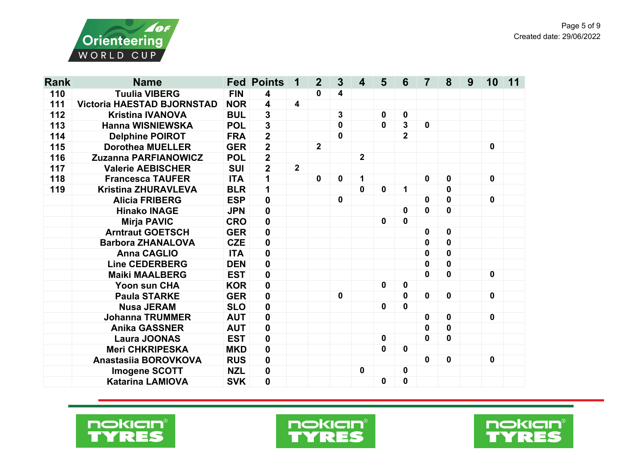



| <b>Rank</b> | <b>Name</b>                       |            | <b>Fed Points</b>       | 1              | $\overline{2}$ | 3            | $\overline{\mathbf{4}}$ | 5           | 6              | 7           | 8           | 9 | 10          | 11 |
|-------------|-----------------------------------|------------|-------------------------|----------------|----------------|--------------|-------------------------|-------------|----------------|-------------|-------------|---|-------------|----|
| 110         | <b>Tuulia VIBERG</b>              | <b>FIN</b> | 4                       |                | 0              | 4            |                         |             |                |             |             |   |             |    |
| 111         | <b>Victoria HAESTAD BJORNSTAD</b> | <b>NOR</b> | $\overline{\mathbf{4}}$ | 4              |                |              |                         |             |                |             |             |   |             |    |
| 112         | <b>Kristina IVANOVA</b>           | <b>BUL</b> | $\mathbf 3$             |                |                | $\mathbf{3}$ |                         | $\mathbf 0$ | $\mathbf 0$    |             |             |   |             |    |
| 113         | <b>Hanna WISNIEWSKA</b>           | <b>POL</b> | $\mathbf 3$             |                |                | $\mathbf 0$  |                         | $\bf{0}$    | 3              | $\mathbf 0$ |             |   |             |    |
| 114         | <b>Delphine POIROT</b>            | <b>FRA</b> | $\overline{2}$          |                |                | $\mathbf 0$  |                         |             | $\overline{2}$ |             |             |   |             |    |
| 115         | <b>Dorothea MUELLER</b>           | <b>GER</b> | $\overline{2}$          |                | 2 <sup>1</sup> |              |                         |             |                |             |             |   | 0           |    |
| 116         | <b>Zuzanna PARFIANOWICZ</b>       | <b>POL</b> | $\overline{2}$          |                |                |              | $\overline{2}$          |             |                |             |             |   |             |    |
| 117         | <b>Valerie AEBISCHER</b>          | <b>SUI</b> | $\overline{2}$          | $\overline{2}$ |                |              |                         |             |                |             |             |   |             |    |
| 118         | <b>Francesca TAUFER</b>           | <b>ITA</b> | 1                       |                | $\mathbf 0$    | $\mathbf 0$  | 1                       |             |                | 0           | 0           |   | 0           |    |
| 119         | <b>Kristina ZHURAVLEVA</b>        | <b>BLR</b> | 1                       |                |                |              | $\bf{0}$                | $\bf{0}$    | 1              |             | 0           |   |             |    |
|             | <b>Alicia FRIBERG</b>             | <b>ESP</b> | $\mathbf 0$             |                |                | $\mathbf 0$  |                         |             |                | 0           | 0           |   | $\mathbf 0$ |    |
|             | <b>Hinako INAGE</b>               | <b>JPN</b> | $\mathbf 0$             |                |                |              |                         |             | 0              | 0           | 0           |   |             |    |
|             | <b>Mirja PAVIC</b>                | <b>CRO</b> | $\mathbf 0$             |                |                |              |                         | 0           | $\mathbf 0$    |             |             |   |             |    |
|             | <b>Arntraut GOETSCH</b>           | <b>GER</b> | $\mathbf 0$             |                |                |              |                         |             |                | 0           | 0           |   |             |    |
|             | <b>Barbora ZHANALOVA</b>          | <b>CZE</b> | $\mathbf 0$             |                |                |              |                         |             |                | 0           | $\mathbf 0$ |   |             |    |
|             | <b>Anna CAGLIO</b>                | <b>ITA</b> | $\mathbf{0}$            |                |                |              |                         |             |                | 0           | 0           |   |             |    |
|             | <b>Line CEDERBERG</b>             | <b>DEN</b> | $\mathbf 0$             |                |                |              |                         |             |                | 0           | 0           |   |             |    |
|             | <b>Maiki MAALBERG</b>             | <b>EST</b> | $\mathbf 0$             |                |                |              |                         |             |                | 0           | 0           |   | $\mathbf 0$ |    |
|             | <b>Yoon sun CHA</b>               | <b>KOR</b> | $\mathbf 0$             |                |                |              |                         | $\mathbf 0$ | 0              |             |             |   |             |    |
|             | <b>Paula STARKE</b>               | <b>GER</b> | $\mathbf{0}$            |                |                | $\mathbf 0$  |                         |             | 0              | 0           | 0           |   | $\mathbf 0$ |    |
|             | <b>Nusa JERAM</b>                 | <b>SLO</b> | $\mathbf 0$             |                |                |              |                         | $\mathbf 0$ | $\mathbf{0}$   |             |             |   |             |    |
|             | <b>Johanna TRUMMER</b>            | <b>AUT</b> | $\mathbf 0$             |                |                |              |                         |             |                | $\mathbf 0$ | $\mathbf 0$ |   | $\mathbf 0$ |    |
|             | <b>Anika GASSNER</b>              | <b>AUT</b> | $\mathbf 0$             |                |                |              |                         |             |                | 0           | 0           |   |             |    |
|             | <b>Laura JOONAS</b>               | <b>EST</b> | $\mathbf 0$             |                |                |              |                         | 0           |                | 0           | 0           |   |             |    |
|             | <b>Meri CHKRIPESKA</b>            | <b>MKD</b> | $\mathbf 0$             |                |                |              |                         | $\mathbf 0$ | $\mathbf 0$    |             |             |   |             |    |
|             | Anastasiia BOROVKOVA              | <b>RUS</b> | $\mathbf 0$             |                |                |              |                         |             |                | 0           | $\mathbf 0$ |   | 0           |    |
|             | <b>Imogene SCOTT</b>              | <b>NZL</b> | $\mathbf 0$             |                |                |              | $\mathbf 0$             |             | 0              |             |             |   |             |    |
|             | <b>Katarina LAMIOVA</b>           | <b>SVK</b> | $\mathbf 0$             |                |                |              |                         | 0           | $\pmb{0}$      |             |             |   |             |    |





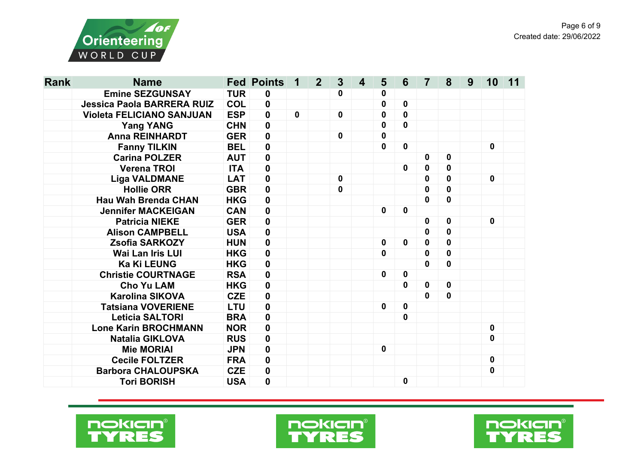

| <b>Rank</b> | <b>Name</b>                       |            | <b>Fed Points</b> | 1            | $\overline{2}$ | $\mathbf{3}$ | 4 | 5           | 6           | $\overline{7}$ | 8           | 9 | 10          | 11 |
|-------------|-----------------------------------|------------|-------------------|--------------|----------------|--------------|---|-------------|-------------|----------------|-------------|---|-------------|----|
|             | <b>Emine SEZGUNSAY</b>            | <b>TUR</b> | $\mathbf 0$       |              |                | 0            |   | 0           |             |                |             |   |             |    |
|             | <b>Jessica Paola BARRERA RUIZ</b> | <b>COL</b> | $\mathbf 0$       |              |                |              |   | 0           | $\mathbf 0$ |                |             |   |             |    |
|             | <b>Violeta FELICIANO SANJUAN</b>  | <b>ESP</b> | $\mathbf 0$       | $\mathbf{0}$ |                | $\mathbf 0$  |   | 0           | 0           |                |             |   |             |    |
|             | <b>Yang YANG</b>                  | <b>CHN</b> | $\mathbf 0$       |              |                |              |   | $\bf{0}$    | 0           |                |             |   |             |    |
|             | <b>Anna REINHARDT</b>             | <b>GER</b> | $\mathbf 0$       |              |                | $\mathbf{0}$ |   | $\mathbf 0$ |             |                |             |   |             |    |
|             | <b>Fanny TILKIN</b>               | <b>BEL</b> | $\mathbf 0$       |              |                |              |   | $\mathbf 0$ | $\mathbf 0$ |                |             |   | $\mathbf 0$ |    |
|             | <b>Carina POLZER</b>              | <b>AUT</b> | $\mathbf 0$       |              |                |              |   |             |             | 0              | $\mathbf 0$ |   |             |    |
|             | <b>Verena TROI</b>                | <b>ITA</b> | $\mathbf 0$       |              |                |              |   |             | $\mathbf 0$ | $\mathbf{0}$   | $\mathbf 0$ |   |             |    |
|             | <b>Liga VALDMANE</b>              | <b>LAT</b> | 0                 |              |                | $\mathbf 0$  |   |             |             | 0              | $\mathbf 0$ |   | $\mathbf 0$ |    |
|             | <b>Hollie ORR</b>                 | <b>GBR</b> | $\mathbf 0$       |              |                | 0            |   |             |             | 0              | $\bf{0}$    |   |             |    |
|             | <b>Hau Wah Brenda CHAN</b>        | <b>HKG</b> | $\mathbf 0$       |              |                |              |   |             |             | 0              | 0           |   |             |    |
|             | <b>Jennifer MACKEIGAN</b>         | <b>CAN</b> | $\mathbf 0$       |              |                |              |   | $\mathbf 0$ | $\mathbf 0$ |                |             |   |             |    |
|             | <b>Patricia NIEKE</b>             | <b>GER</b> | $\mathbf 0$       |              |                |              |   |             |             | $\mathbf 0$    | 0           |   | $\mathbf 0$ |    |
|             | <b>Alison CAMPBELL</b>            | <b>USA</b> | $\mathbf 0$       |              |                |              |   |             |             | $\mathbf 0$    | $\bf{0}$    |   |             |    |
|             | <b>Zsofia SARKOZY</b>             | <b>HUN</b> | $\mathbf 0$       |              |                |              |   | $\mathbf 0$ | $\mathbf 0$ | $\mathbf 0$    | $\mathbf 0$ |   |             |    |
|             | <b>Wai Lan Iris LUI</b>           | <b>HKG</b> | $\mathbf 0$       |              |                |              |   | 0           |             | 0              | $\mathbf 0$ |   |             |    |
|             | <b>Ka Ki LEUNG</b>                | <b>HKG</b> | $\mathbf 0$       |              |                |              |   |             |             | $\bf{0}$       | $\bf{0}$    |   |             |    |
|             | <b>Christie COURTNAGE</b>         | <b>RSA</b> | $\boldsymbol{0}$  |              |                |              |   | $\mathbf 0$ | $\mathbf 0$ |                |             |   |             |    |
|             | <b>Cho Yu LAM</b>                 | <b>HKG</b> | $\mathbf 0$       |              |                |              |   |             | 0           | $\mathbf 0$    | $\mathbf 0$ |   |             |    |
|             | <b>Karolina SIKOVA</b>            | <b>CZE</b> | $\mathbf 0$       |              |                |              |   |             |             | $\mathbf 0$    | $\mathbf 0$ |   |             |    |
|             | <b>Tatsiana VOVERIENE</b>         | <b>LTU</b> | $\mathbf 0$       |              |                |              |   | 0           | $\mathbf 0$ |                |             |   |             |    |
|             | <b>Leticia SALTORI</b>            | <b>BRA</b> | $\mathbf 0$       |              |                |              |   |             | $\mathbf 0$ |                |             |   |             |    |
|             | <b>Lone Karin BROCHMANN</b>       | <b>NOR</b> | $\mathbf 0$       |              |                |              |   |             |             |                |             |   | $\mathbf 0$ |    |
|             | <b>Natalia GIKLOVA</b>            | <b>RUS</b> | $\mathbf 0$       |              |                |              |   |             |             |                |             |   | $\mathbf 0$ |    |
|             | <b>Mie MORIAI</b>                 | <b>JPN</b> | $\boldsymbol{0}$  |              |                |              |   | $\mathbf 0$ |             |                |             |   |             |    |
|             | <b>Cecile FOLTZER</b>             | <b>FRA</b> | $\mathbf 0$       |              |                |              |   |             |             |                |             |   | $\mathbf 0$ |    |
|             | <b>Barbora CHALOUPSKA</b>         | <b>CZE</b> | $\mathbf 0$       |              |                |              |   |             |             |                |             |   | $\mathbf 0$ |    |
|             | <b>Tori BORISH</b>                | <b>USA</b> | 0                 |              |                |              |   |             | 0           |                |             |   |             |    |





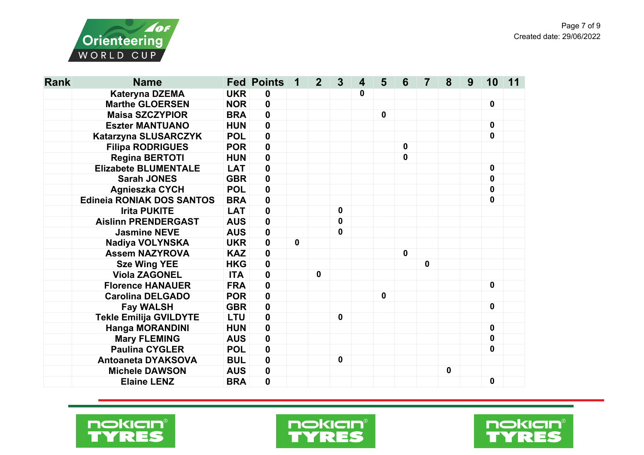

| <b>Rank</b> | <b>Name</b>                      |            | <b>Fed Points</b> | 1           | $\overline{2}$ | $\mathbf{3}$ | 4 | 5           | 6            | 7           | 8 | 9 | 10          | 11 |
|-------------|----------------------------------|------------|-------------------|-------------|----------------|--------------|---|-------------|--------------|-------------|---|---|-------------|----|
|             | Kateryna DZEMA                   | <b>UKR</b> | $\mathbf 0$       |             |                |              | 0 |             |              |             |   |   |             |    |
|             | <b>Marthe GLOERSEN</b>           | <b>NOR</b> | $\mathbf 0$       |             |                |              |   |             |              |             |   |   | $\mathbf 0$ |    |
|             | <b>Maisa SZCZYPIOR</b>           | <b>BRA</b> | $\mathbf 0$       |             |                |              |   | $\mathbf 0$ |              |             |   |   |             |    |
|             | <b>Eszter MANTUANO</b>           | <b>HUN</b> | $\mathbf 0$       |             |                |              |   |             |              |             |   |   | $\mathbf 0$ |    |
|             | Katarzyna SLUSARCZYK             | <b>POL</b> | $\mathbf 0$       |             |                |              |   |             |              |             |   |   | $\mathbf 0$ |    |
|             | <b>Filipa RODRIGUES</b>          | <b>POR</b> | 0                 |             |                |              |   |             | $\mathbf 0$  |             |   |   |             |    |
|             | <b>Regina BERTOTI</b>            | <b>HUN</b> | $\mathbf 0$       |             |                |              |   |             | $\mathbf 0$  |             |   |   |             |    |
|             | <b>Elizabete BLUMENTALE</b>      | <b>LAT</b> | $\mathbf 0$       |             |                |              |   |             |              |             |   |   | $\mathbf 0$ |    |
|             | <b>Sarah JONES</b>               | <b>GBR</b> | $\mathbf 0$       |             |                |              |   |             |              |             |   |   | 0           |    |
|             | <b>Agnieszka CYCH</b>            | <b>POL</b> | $\mathbf 0$       |             |                |              |   |             |              |             |   |   | 0           |    |
|             | <b>Edineia RONIAK DOS SANTOS</b> | <b>BRA</b> | $\mathbf 0$       |             |                |              |   |             |              |             |   |   | $\mathbf 0$ |    |
|             | <b>Irita PUKITE</b>              | <b>LAT</b> | $\mathbf 0$       |             |                | $\mathbf 0$  |   |             |              |             |   |   |             |    |
|             | <b>Aislinn PRENDERGAST</b>       | <b>AUS</b> | 0                 |             |                | 0            |   |             |              |             |   |   |             |    |
|             | <b>Jasmine NEVE</b>              | <b>AUS</b> | 0                 |             |                | 0            |   |             |              |             |   |   |             |    |
|             | Nadiya VOLYNSKA                  | <b>UKR</b> | $\mathbf 0$       | $\mathbf 0$ |                |              |   |             |              |             |   |   |             |    |
|             | <b>Assem NAZYROVA</b>            | <b>KAZ</b> | 0                 |             |                |              |   |             | $\mathbf{0}$ |             |   |   |             |    |
|             | <b>Sze Wing YEE</b>              | <b>HKG</b> | $\mathbf 0$       |             |                |              |   |             |              | $\mathbf 0$ |   |   |             |    |
|             | <b>Viola ZAGONEL</b>             | <b>ITA</b> | 0                 |             | $\mathbf 0$    |              |   |             |              |             |   |   |             |    |
|             | <b>Florence HANAUER</b>          | <b>FRA</b> | $\mathbf 0$       |             |                |              |   |             |              |             |   |   | $\mathbf 0$ |    |
|             | <b>Carolina DELGADO</b>          | <b>POR</b> | 0                 |             |                |              |   | $\bf{0}$    |              |             |   |   |             |    |
|             | <b>Fay WALSH</b>                 | <b>GBR</b> | $\mathbf 0$       |             |                |              |   |             |              |             |   |   | $\mathbf 0$ |    |
|             | <b>Tekle Emilija GVILDYTE</b>    | <b>LTU</b> | $\mathbf 0$       |             |                | $\mathbf 0$  |   |             |              |             |   |   |             |    |
|             | <b>Hanga MORANDINI</b>           | <b>HUN</b> | $\mathbf 0$       |             |                |              |   |             |              |             |   |   | $\mathbf 0$ |    |
|             | <b>Mary FLEMING</b>              | <b>AUS</b> | $\bf{0}$          |             |                |              |   |             |              |             |   |   | $\mathbf 0$ |    |
|             | <b>Paulina CYGLER</b>            | <b>POL</b> | $\bf{0}$          |             |                |              |   |             |              |             |   |   | 0           |    |
|             | <b>Antoaneta DYAKSOVA</b>        | <b>BUL</b> | $\mathbf 0$       |             |                | $\mathbf 0$  |   |             |              |             |   |   |             |    |
|             | <b>Michele DAWSON</b>            | <b>AUS</b> | $\mathbf 0$       |             |                |              |   |             |              |             | 0 |   |             |    |
|             | <b>Elaine LENZ</b>               | <b>BRA</b> | 0                 |             |                |              |   |             |              |             |   |   | 0           |    |





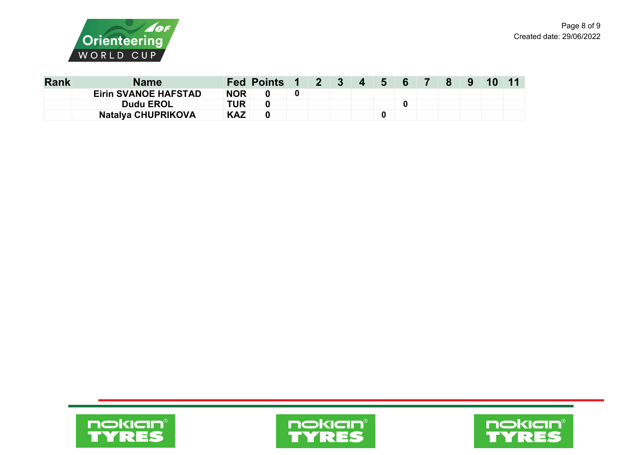



| <b>Rank</b> | <b>Name</b>                 |            | Fed Points 1 2 3 4 5 6 7 8 |  |  |  |  | - 9 | <b>10</b> |  |
|-------------|-----------------------------|------------|----------------------------|--|--|--|--|-----|-----------|--|
|             | <b>Eirin SVANOE HAFSTAD</b> | <b>NOR</b> |                            |  |  |  |  |     |           |  |
|             | <b>Dudu EROL</b>            | TUR        |                            |  |  |  |  |     |           |  |
|             | <b>Natalya CHUPRIKOVA</b>   | <b>KAZ</b> |                            |  |  |  |  |     |           |  |